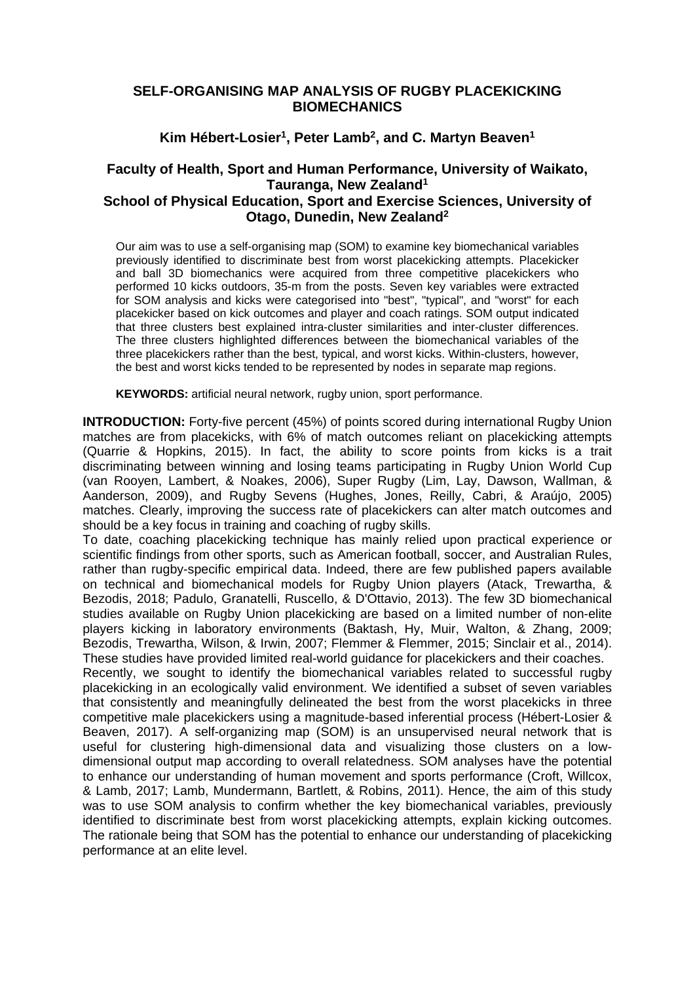## **SELF-ORGANISING MAP ANALYSIS OF RUGBY PLACEKICKING BIOMECHANICS**

**Kim Hébert-Losier1, Peter Lamb2, and C. Martyn Beaven1**

## **Faculty of Health, Sport and Human Performance, University of Waikato, Tauranga, New Zealand1 School of Physical Education, Sport and Exercise Sciences, University of Otago, Dunedin, New Zealand2**

Our aim was to use a self-organising map (SOM) to examine key biomechanical variables previously identified to discriminate best from worst placekicking attempts. Placekicker and ball 3D biomechanics were acquired from three competitive placekickers who performed 10 kicks outdoors, 35-m from the posts. Seven key variables were extracted for SOM analysis and kicks were categorised into "best", "typical", and "worst" for each placekicker based on kick outcomes and player and coach ratings. SOM output indicated that three clusters best explained intra-cluster similarities and inter-cluster differences. The three clusters highlighted differences between the biomechanical variables of the three placekickers rather than the best, typical, and worst kicks. Within-clusters, however, the best and worst kicks tended to be represented by nodes in separate map regions.

**KEYWORDS:** artificial neural network, rugby union, sport performance.

**INTRODUCTION:** Forty-five percent (45%) of points scored during international Rugby Union matches are from placekicks, with 6% of match outcomes reliant on placekicking attempts (Quarrie & Hopkins, 2015). In fact, the ability to score points from kicks is a trait discriminating between winning and losing teams participating in Rugby Union World Cup (van Rooyen, Lambert, & Noakes, 2006), Super Rugby (Lim, Lay, Dawson, Wallman, & Aanderson, 2009), and Rugby Sevens (Hughes, Jones, Reilly, Cabri, & Araújo, 2005) matches. Clearly, improving the success rate of placekickers can alter match outcomes and should be a key focus in training and coaching of rugby skills.

To date, coaching placekicking technique has mainly relied upon practical experience or scientific findings from other sports, such as American football, soccer, and Australian Rules, rather than rugby-specific empirical data. Indeed, there are few published papers available on technical and biomechanical models for Rugby Union players (Atack, Trewartha, & Bezodis, 2018; Padulo, Granatelli, Ruscello, & D'Ottavio, 2013). The few 3D biomechanical studies available on Rugby Union placekicking are based on a limited number of non-elite players kicking in laboratory environments (Baktash, Hy, Muir, Walton, & Zhang, 2009; Bezodis, Trewartha, Wilson, & Irwin, 2007; Flemmer & Flemmer, 2015; Sinclair et al., 2014). These studies have provided limited real-world guidance for placekickers and their coaches.

Recently, we sought to identify the biomechanical variables related to successful rugby placekicking in an ecologically valid environment. We identified a subset of seven variables that consistently and meaningfully delineated the best from the worst placekicks in three competitive male placekickers using a magnitude-based inferential process (Hébert-Losier & Beaven, 2017). A self-organizing map (SOM) is an unsupervised neural network that is useful for clustering high-dimensional data and visualizing those clusters on a lowdimensional output map according to overall relatedness. SOM analyses have the potential to enhance our understanding of human movement and sports performance (Croft, Willcox, & Lamb, 2017; Lamb, Mundermann, Bartlett, & Robins, 2011). Hence, the aim of this study was to use SOM analysis to confirm whether the key biomechanical variables, previously identified to discriminate best from worst placekicking attempts, explain kicking outcomes. The rationale being that SOM has the potential to enhance our understanding of placekicking performance at an elite level.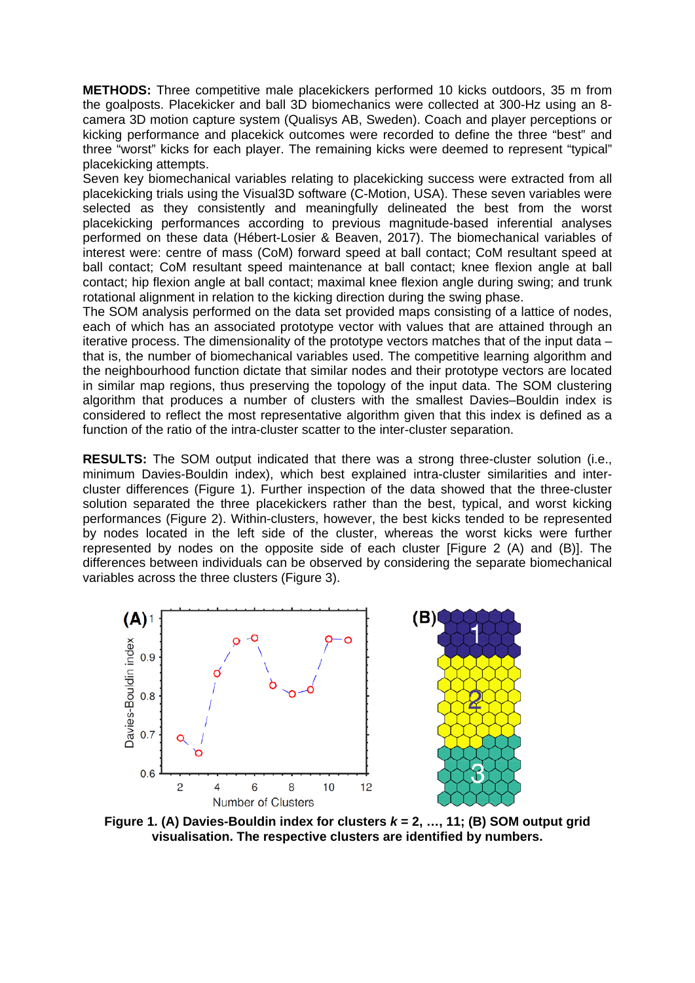**METHODS:** Three competitive male placekickers performed 10 kicks outdoors, 35 m from the goalposts. Placekicker and ball 3D biomechanics were collected at 300-Hz using an 8 camera 3D motion capture system (Qualisys AB, Sweden). Coach and player perceptions or kicking performance and placekick outcomes were recorded to define the three "best" and three "worst" kicks for each player. The remaining kicks were deemed to represent "typical" placekicking attempts.

Seven key biomechanical variables relating to placekicking success were extracted from all placekicking trials using the Visual3D software (C-Motion, USA). These seven variables were selected as they consistently and meaningfully delineated the best from the worst placekicking performances according to previous magnitude-based inferential analyses performed on these data (Hébert-Losier & Beaven, 2017). The biomechanical variables of interest were: centre of mass (CoM) forward speed at ball contact; CoM resultant speed at ball contact; CoM resultant speed maintenance at ball contact; knee flexion angle at ball contact; hip flexion angle at ball contact; maximal knee flexion angle during swing; and trunk rotational alignment in relation to the kicking direction during the swing phase.

The SOM analysis performed on the data set provided maps consisting of a lattice of nodes, each of which has an associated prototype vector with values that are attained through an iterative process. The dimensionality of the prototype vectors matches that of the input data – that is, the number of biomechanical variables used. The competitive learning algorithm and the neighbourhood function dictate that similar nodes and their prototype vectors are located in similar map regions, thus preserving the topology of the input data. The SOM clustering algorithm that produces a number of clusters with the smallest Davies–Bouldin index is considered to reflect the most representative algorithm given that this index is defined as a function of the ratio of the intra-cluster scatter to the inter-cluster separation.

**RESULTS:** The SOM output indicated that there was a strong three-cluster solution (i.e., minimum Davies-Bouldin index), which best explained intra-cluster similarities and intercluster differences (Figure 1). Further inspection of the data showed that the three-cluster solution separated the three placekickers rather than the best, typical, and worst kicking performances (Figure 2). Within-clusters, however, the best kicks tended to be represented by nodes located in the left side of the cluster, whereas the worst kicks were further represented by nodes on the opposite side of each cluster [Figure 2 (A) and (B)]. The differences between individuals can be observed by considering the separate biomechanical variables across the three clusters (Figure 3).



**Figure 1. (A) Davies-Bouldin index for clusters** *k* **= 2, …, 11; (B) SOM output grid visualisation. The respective clusters are identified by numbers.**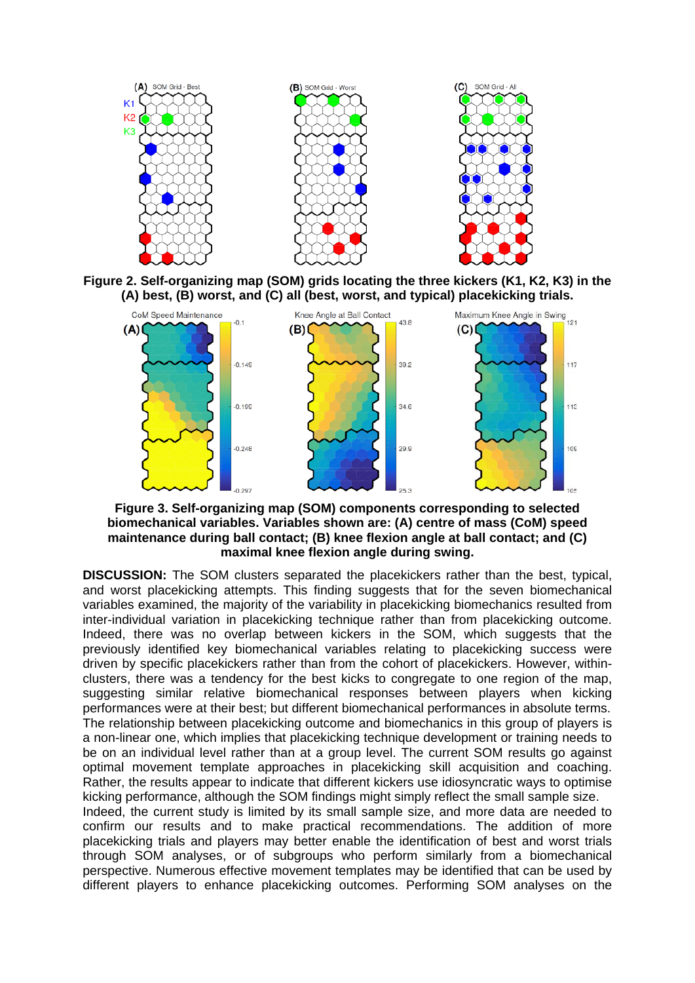

**Figure 2. Self-organizing map (SOM) grids locating the three kickers (K1, K2, K3) in the** 



**Figure 3. Self-organizing map (SOM) components corresponding to selected biomechanical variables. Variables shown are: (A) centre of mass (CoM) speed maintenance during ball contact; (B) knee flexion angle at ball contact; and (C) maximal knee flexion angle during swing.**

**DISCUSSION:** The SOM clusters separated the placekickers rather than the best, typical, and worst placekicking attempts. This finding suggests that for the seven biomechanical variables examined, the majority of the variability in placekicking biomechanics resulted from inter-individual variation in placekicking technique rather than from placekicking outcome. Indeed, there was no overlap between kickers in the SOM, which suggests that the previously identified key biomechanical variables relating to placekicking success were driven by specific placekickers rather than from the cohort of placekickers. However, withinclusters, there was a tendency for the best kicks to congregate to one region of the map, suggesting similar relative biomechanical responses between players when kicking performances were at their best; but different biomechanical performances in absolute terms. The relationship between placekicking outcome and biomechanics in this group of players is a non-linear one, which implies that placekicking technique development or training needs to be on an individual level rather than at a group level. The current SOM results go against optimal movement template approaches in placekicking skill acquisition and coaching. Rather, the results appear to indicate that different kickers use idiosyncratic ways to optimise kicking performance, although the SOM findings might simply reflect the small sample size. Indeed, the current study is limited by its small sample size, and more data are needed to

confirm our results and to make practical recommendations. The addition of more placekicking trials and players may better enable the identification of best and worst trials through SOM analyses, or of subgroups who perform similarly from a biomechanical perspective. Numerous effective movement templates may be identified that can be used by different players to enhance placekicking outcomes. Performing SOM analyses on the